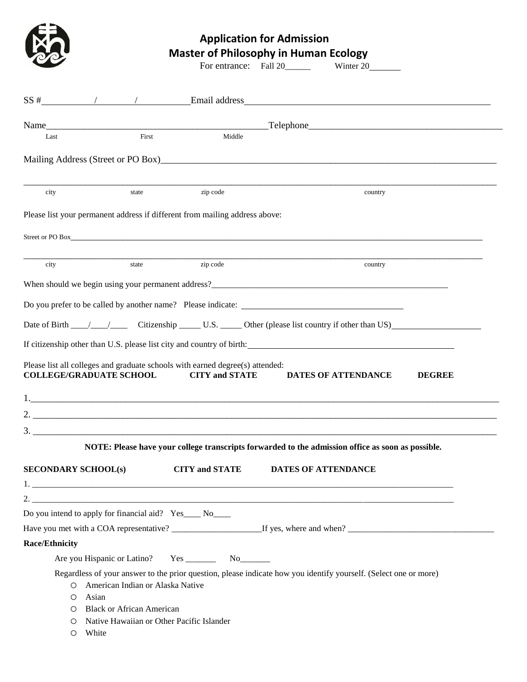

## **Application for Admission Master of Philosophy in Human Ecology**

For entrance: Fall 20\_\_\_\_\_\_\_ Winter 20\_

| $SS#$ / /                                                                                                                                                       |                             |                                  |                                                                                                        |                                                                                                   |               |  |  |  |  |
|-----------------------------------------------------------------------------------------------------------------------------------------------------------------|-----------------------------|----------------------------------|--------------------------------------------------------------------------------------------------------|---------------------------------------------------------------------------------------------------|---------------|--|--|--|--|
|                                                                                                                                                                 |                             |                                  |                                                                                                        |                                                                                                   |               |  |  |  |  |
| Last                                                                                                                                                            |                             | First                            | Middle                                                                                                 |                                                                                                   |               |  |  |  |  |
|                                                                                                                                                                 |                             |                                  |                                                                                                        |                                                                                                   |               |  |  |  |  |
| city                                                                                                                                                            |                             | state                            | zip code                                                                                               | country                                                                                           |               |  |  |  |  |
|                                                                                                                                                                 |                             |                                  | Please list your permanent address if different from mailing address above:                            |                                                                                                   |               |  |  |  |  |
|                                                                                                                                                                 |                             |                                  |                                                                                                        |                                                                                                   |               |  |  |  |  |
| city                                                                                                                                                            |                             | state                            | zip code                                                                                               | country                                                                                           |               |  |  |  |  |
|                                                                                                                                                                 |                             |                                  |                                                                                                        |                                                                                                   |               |  |  |  |  |
|                                                                                                                                                                 |                             |                                  |                                                                                                        |                                                                                                   |               |  |  |  |  |
|                                                                                                                                                                 |                             |                                  |                                                                                                        |                                                                                                   |               |  |  |  |  |
|                                                                                                                                                                 |                             |                                  |                                                                                                        |                                                                                                   |               |  |  |  |  |
| <b>COLLEGE/GRADUATE SCHOOL</b>                                                                                                                                  |                             |                                  | Please list all colleges and graduate schools with earned degree(s) attended:<br><b>CITY and STATE</b> | <b>DATES OF ATTENDANCE</b>                                                                        | <b>DEGREE</b> |  |  |  |  |
|                                                                                                                                                                 |                             |                                  |                                                                                                        |                                                                                                   |               |  |  |  |  |
|                                                                                                                                                                 |                             |                                  |                                                                                                        |                                                                                                   |               |  |  |  |  |
|                                                                                                                                                                 |                             |                                  |                                                                                                        |                                                                                                   |               |  |  |  |  |
|                                                                                                                                                                 |                             |                                  |                                                                                                        | NOTE: Please have your college transcripts forwarded to the admission office as soon as possible. |               |  |  |  |  |
| <b>SECONDARY SCHOOL(s)</b>                                                                                                                                      |                             |                                  | <b>CITY and STATE</b>                                                                                  | <b>DATES OF ATTENDANCE</b>                                                                        |               |  |  |  |  |
|                                                                                                                                                                 |                             |                                  |                                                                                                        |                                                                                                   |               |  |  |  |  |
|                                                                                                                                                                 |                             |                                  |                                                                                                        |                                                                                                   |               |  |  |  |  |
|                                                                                                                                                                 |                             |                                  | Do you intend to apply for financial aid? Yes ____ No____                                              |                                                                                                   |               |  |  |  |  |
|                                                                                                                                                                 |                             |                                  |                                                                                                        |                                                                                                   |               |  |  |  |  |
| <b>Race/Ethnicity</b>                                                                                                                                           |                             |                                  |                                                                                                        |                                                                                                   |               |  |  |  |  |
|                                                                                                                                                                 | Are you Hispanic or Latino? |                                  | $Yes$ No $\qquad$                                                                                      |                                                                                                   |               |  |  |  |  |
| Regardless of your answer to the prior question, please indicate how you identify yourself. (Select one or more)<br>American Indian or Alaska Native<br>$\circ$ |                             |                                  |                                                                                                        |                                                                                                   |               |  |  |  |  |
| $\circ$                                                                                                                                                         | Asian                       |                                  |                                                                                                        |                                                                                                   |               |  |  |  |  |
| $\circ$                                                                                                                                                         |                             | <b>Black or African American</b> |                                                                                                        |                                                                                                   |               |  |  |  |  |
| ◯<br>$\circ$                                                                                                                                                    | White                       |                                  | Native Hawaiian or Other Pacific Islander                                                              |                                                                                                   |               |  |  |  |  |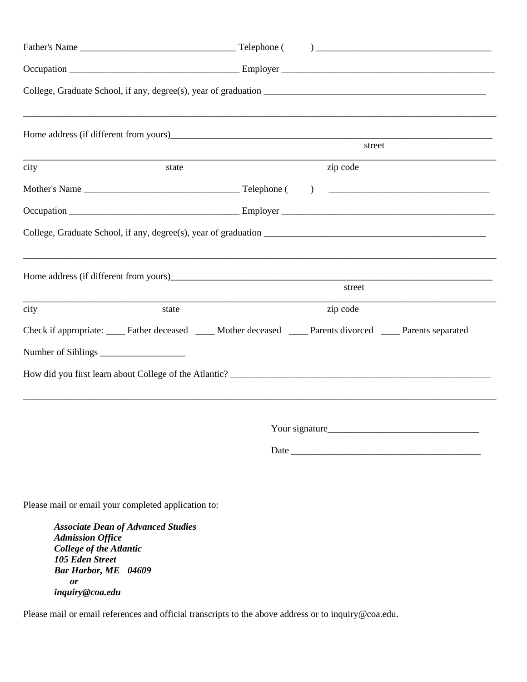|      |       |                                                                                                                                                                                                                                  | street   |  |  |  |  |  |  |
|------|-------|----------------------------------------------------------------------------------------------------------------------------------------------------------------------------------------------------------------------------------|----------|--|--|--|--|--|--|
|      |       |                                                                                                                                                                                                                                  |          |  |  |  |  |  |  |
| city | state |                                                                                                                                                                                                                                  | zip code |  |  |  |  |  |  |
|      |       |                                                                                                                                                                                                                                  |          |  |  |  |  |  |  |
|      |       |                                                                                                                                                                                                                                  |          |  |  |  |  |  |  |
|      |       |                                                                                                                                                                                                                                  |          |  |  |  |  |  |  |
|      |       | Home address (if different from yours)<br>expansion to the contract of the contract of the contract of the contract of the contract of the contract of the contract of the contract of the contract of the contract of the contr |          |  |  |  |  |  |  |
|      |       |                                                                                                                                                                                                                                  | street   |  |  |  |  |  |  |
| city | state |                                                                                                                                                                                                                                  | zip code |  |  |  |  |  |  |
|      |       | Check if appropriate: _____ Father deceased _____ Mother deceased _____ Parents divorced _____ Parents separated                                                                                                                 |          |  |  |  |  |  |  |
|      |       |                                                                                                                                                                                                                                  |          |  |  |  |  |  |  |
|      |       |                                                                                                                                                                                                                                  |          |  |  |  |  |  |  |
|      |       |                                                                                                                                                                                                                                  |          |  |  |  |  |  |  |
|      |       |                                                                                                                                                                                                                                  |          |  |  |  |  |  |  |
|      | Date  |                                                                                                                                                                                                                                  |          |  |  |  |  |  |  |

Please mail or email your completed application to:

*Associate Dean of Advanced Studies Admission Office College of the Atlantic 105 Eden Street Bar Harbor, ME 04609 or inquiry@coa.edu*

Please mail or email references and official transcripts to the above address or to inquiry@coa.edu.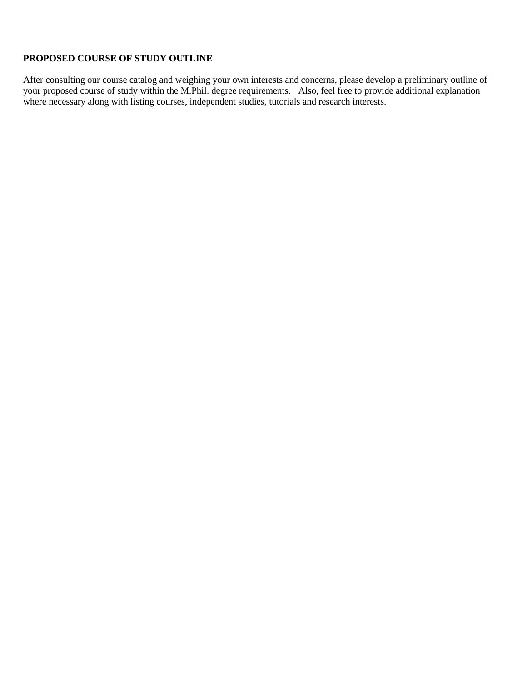## **PROPOSED COURSE OF STUDY OUTLINE**

After consulting our course catalog and weighing your own interests and concerns, please develop a preliminary outline of your proposed course of study within the M.Phil. degree requirements. Also, feel free to provide additional explanation where necessary along with listing courses, independent studies, tutorials and research interests.